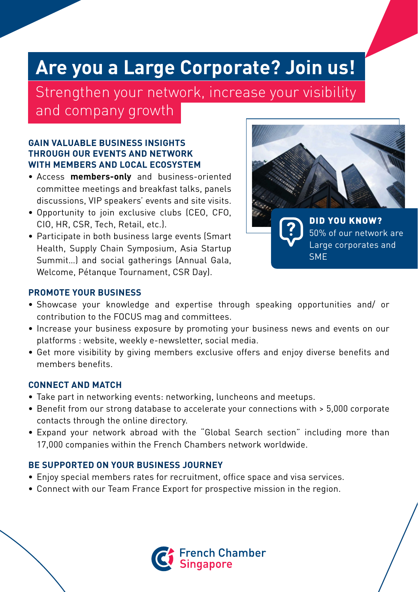## **Are you a Large Corporate? Join us!**

Strengthen your network, increase your visibility and company growth

#### **GAIN VALUABLE BUSINESS INSIGHTS THROUGH OUR EVENTS AND NETWORK WITH MEMBERS AND LOCAL ECOSYSTEM**

- Access **members-only** and business-oriented committee meetings and breakfast talks, panels discussions, VIP speakers' events and site visits.
- Opportunity to join exclusive clubs (CEO, CFO, CIO, HR, CSR, Tech, Retail, etc.).
- Participate in both business large events (Smart Health, Supply Chain Symposium, Asia Startup Summit…) and social gatherings (Annual Gala, Welcome, Pétanque Tournament, CSR Day).



#### **PROMOTE YOUR BUSINESS**

- Showcase your knowledge and expertise through speaking opportunities and/ or contribution to the FOCUS mag and committees.
- Increase your business exposure by promoting your business news and events on our platforms : website, weekly e-newsletter, social media.
- Get more visibility by giving members exclusive offers and enjoy diverse benefits and members benefits.

#### **CONNECT AND MATCH**

- Take part in networking events: networking, luncheons and meetups.
- Benefit from our strong database to accelerate your connections with > 5,000 corporate contacts through the online directory.
- Expand your network abroad with the "Global Search section" including more than 17,000 companies within the French Chambers network worldwide.

#### **BE SUPPORTED ON YOUR BUSINESS JOURNEY**

- Enjoy special members rates for recruitment, office space and visa services.
- Connect with our Team France Export for prospective mission in the region.